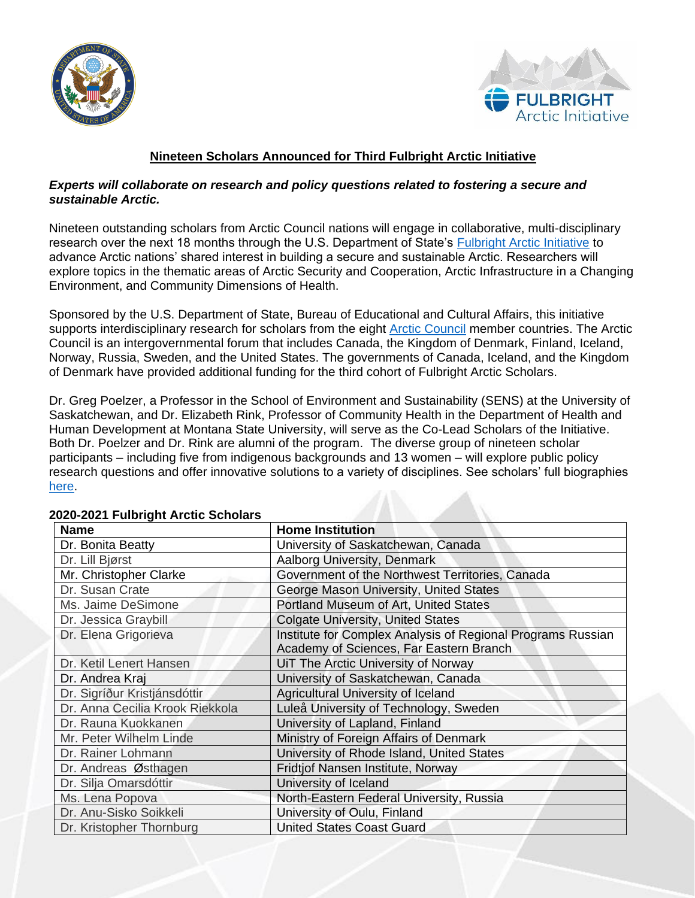



## **Nineteen Scholars Announced for Third Fulbright Arctic Initiative**

## *Experts will collaborate on research and policy questions related to fostering a secure and sustainable Arctic.*

Nineteen outstanding scholars from Arctic Council nations will engage in collaborative, multi-disciplinary research over the next 18 months through the U.S. Department of State's **[Fulbright Arctic Initiative](https://eca.state.gov/fulbright/fulbright-programs/program-summaries/fulbright-arctic-initiative)** to advance Arctic nations' shared interest in building a secure and sustainable Arctic. Researchers will explore topics in the thematic areas of Arctic Security and Cooperation, Arctic Infrastructure in a Changing Environment, and Community Dimensions of Health.

Sponsored by the U.S. Department of State, Bureau of Educational and Cultural Affairs, this initiative supports interdisciplinary research for scholars from the eight [Arctic Council](https://arctic-council.org/en/) member countries. The Arctic Council is an intergovernmental forum that includes Canada, the Kingdom of Denmark, Finland, Iceland, Norway, Russia, Sweden, and the United States. The governments of Canada, Iceland, and the Kingdom of Denmark have provided additional funding for the third cohort of Fulbright Arctic Scholars.

Dr. Greg Poelzer, a Professor in the School of Environment and Sustainability (SENS) at the University of Saskatchewan, and Dr. Elizabeth Rink, Professor of Community Health in the Department of Health and Human Development at Montana State University, will serve as the Co-Lead Scholars of the Initiative. Both Dr. Poelzer and Dr. Rink are alumni of the program. The diverse group of nineteen scholar participants – including five from indigenous backgrounds and 13 women – will explore public policy research questions and offer innovative solutions to a variety of disciplines. See scholars' full biographies [here.](https://cies.org/arctic/meet-2021-2022-arctic-initiative-scholars)

| <b>Name</b>                     | <b>Home Institution</b>                                     |
|---------------------------------|-------------------------------------------------------------|
| Dr. Bonita Beatty               | University of Saskatchewan, Canada                          |
| Dr. Lill Bjørst                 | Aalborg University, Denmark                                 |
| Mr. Christopher Clarke          | Government of the Northwest Territories, Canada             |
| Dr. Susan Crate                 | George Mason University, United States                      |
| Ms. Jaime DeSimone              | Portland Museum of Art, United States                       |
| Dr. Jessica Graybill            | <b>Colgate University, United States</b>                    |
| Dr. Elena Grigorieva            | Institute for Complex Analysis of Regional Programs Russian |
|                                 | Academy of Sciences, Far Eastern Branch                     |
| Dr. Ketil Lenert Hansen         | UiT The Arctic University of Norway                         |
| Dr. Andrea Kraj                 | University of Saskatchewan, Canada                          |
| Dr. Sigríður Kristjánsdóttir    | Agricultural University of Iceland                          |
| Dr. Anna Cecilia Krook Riekkola | Luleå University of Technology, Sweden                      |
| Dr. Rauna Kuokkanen             | University of Lapland, Finland                              |
| Mr. Peter Wilhelm Linde         | Ministry of Foreign Affairs of Denmark                      |
| Dr. Rainer Lohmann              | University of Rhode Island, United States                   |
| Dr. Andreas Østhagen            | Fridtjof Nansen Institute, Norway                           |
| Dr. Silja Omarsdóttir           | University of Iceland                                       |
| Ms. Lena Popova                 | North-Eastern Federal University, Russia                    |
| Dr. Anu-Sisko Soikkeli          | University of Oulu, Finland                                 |
| Dr. Kristopher Thornburg        | <b>United States Coast Guard</b>                            |

## **2020-2021 Fulbright Arctic Scholars**